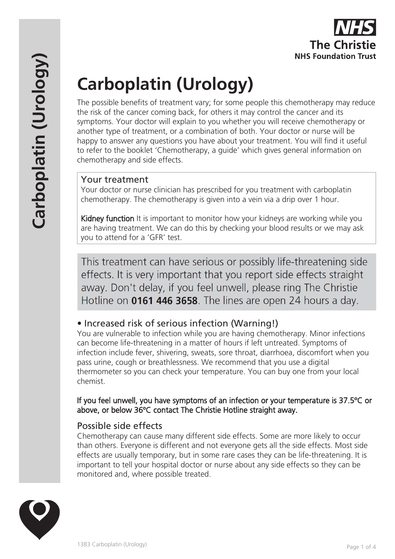# **Carboplatin (Urology)**

The possible benefits of treatment vary; for some people this chemotherapy may reduce the risk of the cancer coming back, for others it may control the cancer and its symptoms. Your doctor will explain to you whether you will receive chemotherapy or another type of treatment, or a combination of both. Your doctor or nurse will be happy to answer any questions you have about your treatment. You will find it useful to refer to the booklet 'Chemotherapy, a guide' which gives general information on chemotherapy and side effects.

## Your treatment

Your doctor or nurse clinician has prescribed for you treatment with carboplatin chemotherapy. The chemotherapy is given into a vein via a drip over 1 hour.

Kidney function It is important to monitor how your kidneys are working while you are having treatment. We can do this by checking your blood results or we may ask you to attend for a 'GFR' test.

This treatment can have serious or possibly life-threatening side effects. It is very important that you report side effects straight away. Don't delay, if you feel unwell, please ring The Christie Hotline on 0161 446 3658. The lines are open 24 hours a day.

## • Increased risk of serious infection (Warning!)

You are vulnerable to infection while you are having chemotherapy. Minor infections can become life-threatening in a matter of hours if left untreated. Symptoms of infection include fever, shivering, sweats, sore throat, diarrhoea, discomfort when you pass urine, cough or breathlessness. We recommend that you use a digital thermometer so you can check your temperature. You can buy one from your local chemist.

If you feel unwell, you have symptoms of an infection or your temperature is 37.5ºC or above, or below 36ºC contact The Christie Hotline straight away.

## Possible side effects

Chemotherapy can cause many different side effects. Some are more likely to occur than others. Everyone is different and not everyone gets all the side effects. Most side effects are usually temporary, but in some rare cases they can be life-threatening. It is important to tell your hospital doctor or nurse about any side effects so they can be monitored and, where possible treated.

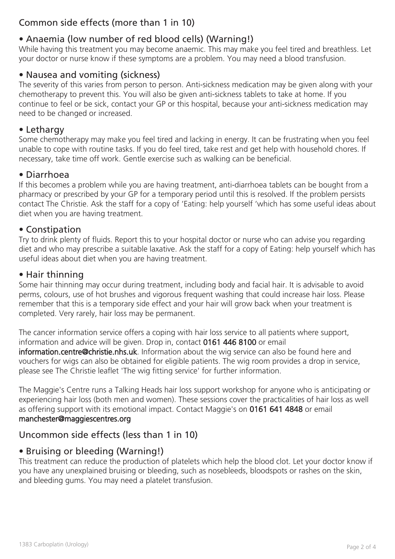# Common side effects (more than 1 in 10)

## • Anaemia (low number of red blood cells) (Warning!)

While having this treatment you may become anaemic. This may make you feel tired and breathless. Let your doctor or nurse know if these symptoms are a problem. You may need a blood transfusion.

## • Nausea and vomiting (sickness)

The severity of this varies from person to person. Anti-sickness medication may be given along with your chemotherapy to prevent this. You will also be given anti-sickness tablets to take at home. If you continue to feel or be sick, contact your GP or this hospital, because your anti-sickness medication may need to be changed or increased.

#### • Lethargy

Some chemotherapy may make you feel tired and lacking in energy. It can be frustrating when you feel unable to cope with routine tasks. If you do feel tired, take rest and get help with household chores. If necessary, take time off work. Gentle exercise such as walking can be beneficial.

#### • Diarrhoea

If this becomes a problem while you are having treatment, anti-diarrhoea tablets can be bought from a pharmacy or prescribed by your GP for a temporary period until this is resolved. If the problem persists contact The Christie. Ask the staff for a copy of 'Eating: help yourself 'which has some useful ideas about diet when you are having treatment.

## • Constipation

Try to drink plenty of fluids. Report this to your hospital doctor or nurse who can advise you regarding diet and who may prescribe a suitable laxative. Ask the staff for a copy of Eating: help yourself which has useful ideas about diet when you are having treatment.

#### • Hair thinning

Some hair thinning may occur during treatment, including body and facial hair. It is advisable to avoid perms, colours, use of hot brushes and vigorous frequent washing that could increase hair loss. Please remember that this is a temporary side effect and your hair will grow back when your treatment is completed. Very rarely, hair loss may be permanent.

The cancer information service offers a coping with hair loss service to all patients where support, information and advice will be given. Drop in, contact 0161 446 8100 or email information.centre@christie.nhs.uk. Information about the wig service can also be found here and vouchers for wigs can also be obtained for eligible patients. The wig room provides a drop in service, please see The Christie leaflet 'The wig fitting service' for further information.

The Maggie's Centre runs a Talking Heads hair loss support workshop for anyone who is anticipating or experiencing hair loss (both men and women). These sessions cover the practicalities of hair loss as well as offering support with its emotional impact. Contact Maggie's on 0161 641 4848 or email manchester@maggiescentres.org

## Uncommon side effects (less than 1 in 10)

## • Bruising or bleeding (Warning!)

This treatment can reduce the production of platelets which help the blood clot. Let your doctor know if you have any unexplained bruising or bleeding, such as nosebleeds, bloodspots or rashes on the skin, and bleeding gums. You may need a platelet transfusion.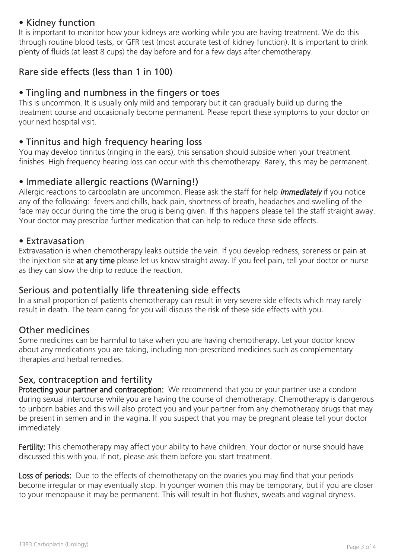## • Kidney function

It is important to monitor how your kidneys are working while you are having treatment. We do this through routine blood tests, or GFR test (most accurate test of kidney function). It is important to drink plenty of fluids (at least 8 cups) the day before and for a few days after chemotherapy.

## Rare side effects (less than 1 in 100)

## • Tingling and numbness in the fingers or toes

This is uncommon. It is usually only mild and temporary but it can gradually build up during the treatment course and occasionally become permanent. Please report these symptoms to your doctor on your next hospital visit.

## • Tinnitus and high frequency hearing loss

You may develop tinnitus (ringing in the ears), this sensation should subside when your treatment finishes. High frequency hearing loss can occur with this chemotherapy. Rarely, this may be permanent.

## • Immediate allergic reactions (Warning!)

Allergic reactions to carboplatin are uncommon. Please ask the staff for help *immediately* if you notice any of the following: fevers and chills, back pain, shortness of breath, headaches and swelling of the face may occur during the time the drug is being given. If this happens please tell the staff straight away. Your doctor may prescribe further medication that can help to reduce these side effects.

## • Extravasation

Extravasation is when chemotherapy leaks outside the vein. If you develop redness, soreness or pain at the injection site at any time please let us know straight away. If you feel pain, tell your doctor or nurse as they can slow the drip to reduce the reaction.

## Serious and potentially life threatening side effects

In a small proportion of patients chemotherapy can result in very severe side effects which may rarely result in death. The team caring for you will discuss the risk of these side effects with you.

## Other medicines

Some medicines can be harmful to take when you are having chemotherapy. Let your doctor know about any medications you are taking, including non-prescribed medicines such as complementary therapies and herbal remedies.

## Sex, contraception and fertility

Protecting your partner and contraception: We recommend that you or your partner use a condom during sexual intercourse while you are having the course of chemotherapy. Chemotherapy is dangerous to unborn babies and this will also protect you and your partner from any chemotherapy drugs that may be present in semen and in the vagina. If you suspect that you may be pregnant please tell your doctor immediately.

Fertility: This chemotherapy may affect your ability to have children. Your doctor or nurse should have discussed this with you. If not, please ask them before you start treatment.

Loss of periods: Due to the effects of chemotherapy on the ovaries you may find that your periods become irregular or may eventually stop. In younger women this may be temporary, but if you are closer to your menopause it may be permanent. This will result in hot flushes, sweats and vaginal dryness.